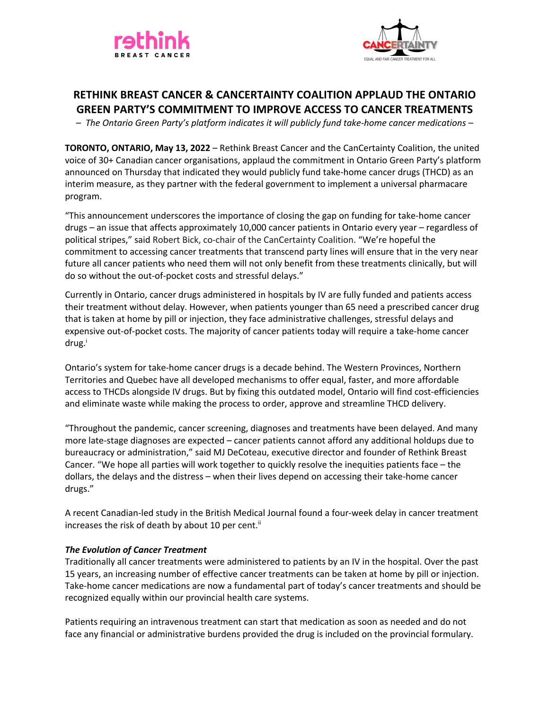



# **RETHINK BREAST CANCER & CANCERTAINTY COALITION APPLAUD THE ONTARIO GREEN PARTY'S COMMITMENT TO IMPROVE ACCESS TO CANCER TREATMENTS**

– *The Ontario Green Party's platform indicates it will publicly fund take-home cancer medications –*

**TORONTO, ONTARIO, May 13, 2022** – Rethink Breast Cancer and the CanCertainty Coalition, the united voice of 30+ Canadian cancer organisations, applaud the commitment in Ontario Green Party's platform announced on Thursday that indicated they would publicly fund take-home cancer drugs (THCD) as an interim measure, as they partner with the federal government to implement a universal pharmacare program.

"This announcement underscores the importance of closing the gap on funding for take-home cancer drugs – an issue that affects approximately 10,000 cancer patients in Ontario every year – regardless of political stripes," said Robert Bick, co-chair of the CanCertainty Coalition. "We're hopeful the commitment to accessing cancer treatments that transcend party lines will ensure that in the very near future all cancer patients who need them will not only benefit from these treatments clinically, but will do so without the out-of-pocket costs and stressful delays."

Currently in Ontario, cancer drugs administered in hospitals by IV are fully funded and patients access their treatment without delay. However, when patients younger than 65 need a prescribed cancer drug that is taken at home by pill or injection, they face administrative challenges, stressful delays and expensive out-of-pocket costs. The majority of cancer patients today will require a take-home cancer  $drug<sup>i</sup>$ 

Ontario's system for take-home cancer drugs is a decade behind. The Western Provinces, Northern Territories and Quebec have all developed mechanisms to offer equal, faster, and more affordable access to THCDs alongside IV drugs. But by fixing this outdated model, Ontario will find cost-efficiencies and eliminate waste while making the process to order, approve and streamline THCD delivery.

"Throughout the pandemic, cancer screening, diagnoses and treatments have been delayed. And many more late-stage diagnoses are expected – cancer patients cannot afford any additional holdups due to bureaucracy or administration," said MJ DeCoteau, executive director and founder of Rethink Breast Cancer. "We hope all parties will work together to quickly resolve the inequities patients face – the dollars, the delays and the distress – when their lives depend on accessing their take-home cancer drugs."

A recent Canadian-led study in the British Medical Journal found a four-week delay in cancer treatment increases the risk of death by about 10 per cent.<sup>ii</sup>

## *The Evolution of Cancer Treatment*

Traditionally all cancer treatments were administered to patients by an IV in the hospital. Over the past 15 years, an increasing number of effective cancer treatments can be taken at home by pill or injection. Take-home cancer medications are now a fundamental part of today's cancer treatments and should be recognized equally within our provincial health care systems.

Patients requiring an intravenous treatment can start that medication as soon as needed and do not face any financial or administrative burdens provided the drug is included on the provincial formulary.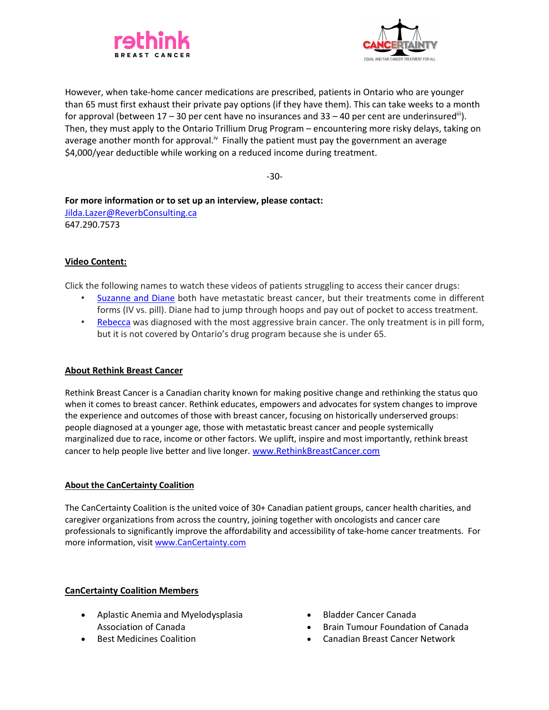



However, when take-home cancer medications are prescribed, patients in Ontario who are younger than 65 must first exhaust their private pay options (if they have them). This can take weeks to a month for approval (between  $17 - 30$  per cent have no insurances and  $33 - 40$  per cent are underinsured<sup>iii</sup>). Then, they must apply to the Ontario Trillium Drug Program – encountering more risky delays, taking on average another month for approval.<sup>iv</sup> Finally the patient must pay the government an average \$4,000/year deductible while working on a reduced income during treatment.

-30-

**For more information or to set up an interview, please contact:** Jilda.Lazer@ReverbConsulting.ca 647.290.7573

## **Video Content:**

Click the following names to watch these videos of patients struggling to access their cancer drugs:

- Suzanne and Diane both have metastatic breast cancer, but their treatments come in different forms (IV vs. pill). Diane had to jump through hoops and pay out of pocket to access treatment.
- Rebecca was diagnosed with the most aggressive brain cancer. The only treatment is in pill form, but it is not covered by Ontario's drug program because she is under 65.

## **About Rethink Breast Cancer**

Rethink Breast Cancer is a Canadian charity known for making positive change and rethinking the status quo when it comes to breast cancer. Rethink educates, empowers and advocates for system changes to improve the experience and outcomes of those with breast cancer, focusing on historically underserved groups: people diagnosed at a younger age, those with metastatic breast cancer and people systemically marginalized due to race, income or other factors. We uplift, inspire and most importantly, rethink breast cancer to help people live better and live longer. www.RethinkBreastCancer.com

## **About the CanCertainty Coalition**

The CanCertainty Coalition is the united voice of 30+ Canadian patient groups, cancer health charities, and caregiver organizations from across the country, joining together with oncologists and cancer care professionals to significantly improve the affordability and accessibility of take-home cancer treatments. For more information, visit www.CanCertainty.com

## **CanCertainty Coalition Members**

- Aplastic Anemia and Myelodysplasia Association of Canada
- Best Medicines Coalition
- Bladder Cancer Canada
- Brain Tumour Foundation of Canada
- Canadian Breast Cancer Network